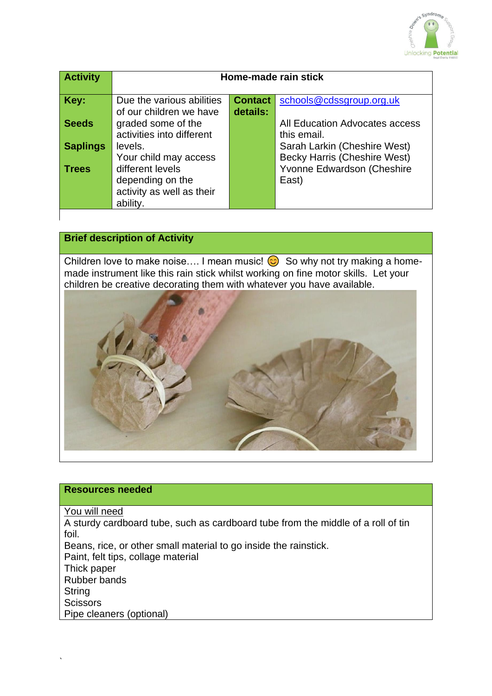

| <b>Activity</b> | Home-made rain stick                                                                                   |                            |                                                                            |
|-----------------|--------------------------------------------------------------------------------------------------------|----------------------------|----------------------------------------------------------------------------|
| Key:            | Due the various abilities<br>of our children we have                                                   | <b>Contact</b><br>details: | schools@cdssgroup.org.uk                                                   |
| <b>Seeds</b>    | graded some of the<br>activities into different                                                        |                            | All Education Advocates access<br>this email.                              |
| <b>Saplings</b> | levels.                                                                                                |                            | Sarah Larkin (Cheshire West)                                               |
| <b>Trees</b>    | Your child may access<br>different levels<br>depending on the<br>activity as well as their<br>ability. |                            | <b>Becky Harris (Cheshire West)</b><br>Yvonne Edwardson (Cheshire<br>East) |

# **Brief description of Activity**

Children love to make noise.... I mean music!  $\odot$  So why not try making a homemade instrument like this rain stick whilst working on fine motor skills. Let your children be creative decorating them with whatever you have available.



#### **Resources needed**

You will need

A sturdy cardboard tube, such as cardboard tube from the middle of a roll of tin foil.

Beans, rice, or other small material to go inside the rainstick.

Paint, felt tips, collage material

Thick paper

Rubber bands

**String Scissors** 

`

Pipe cleaners (optional)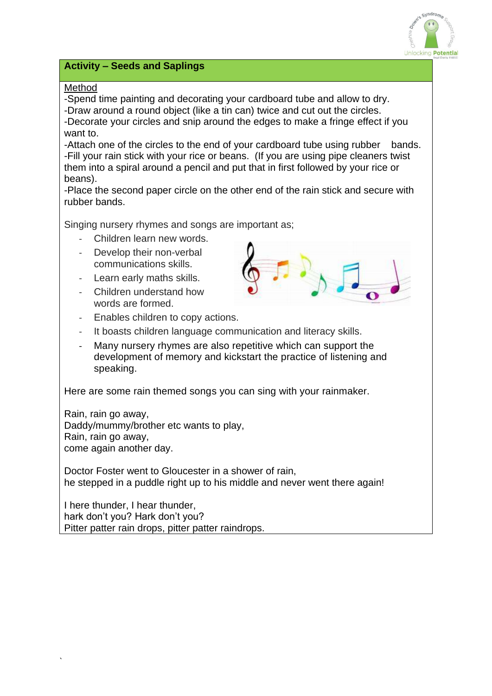

# **Activity – Seeds and Saplings**

### Method

-Spend time painting and decorating your cardboard tube and allow to dry.

-Draw around a round object (like a tin can) twice and cut out the circles. -Decorate your circles and snip around the edges to make a fringe effect if you want to.

-Attach one of the circles to the end of your cardboard tube using rubber bands. -Fill your rain stick with your rice or beans. (If you are using pipe cleaners twist them into a spiral around a pencil and put that in first followed by your rice or beans).

-Place the second paper circle on the other end of the rain stick and secure with rubber bands.

Singing nursery rhymes and songs are important as;

- Children learn new words.
- Develop their non-verbal communications skills.
- Learn early maths skills.
- Children understand how words are formed.



- Enables children to copy actions.
- It boasts children language communication and literacy skills.
- Many nursery rhymes are also repetitive which can support the development of memory and kickstart the practice of listening and speaking.

Here are some rain themed songs you can sing with your rainmaker.

Rain, rain go away, Daddy/mummy/brother etc wants to play, Rain, rain go away, come again another day.

Doctor Foster went to Gloucester in a shower of rain, he stepped in a puddle right up to his middle and never went there again!

I here thunder, I hear thunder, hark don't you? Hark don't you? Pitter patter rain drops, pitter patter raindrops.

`